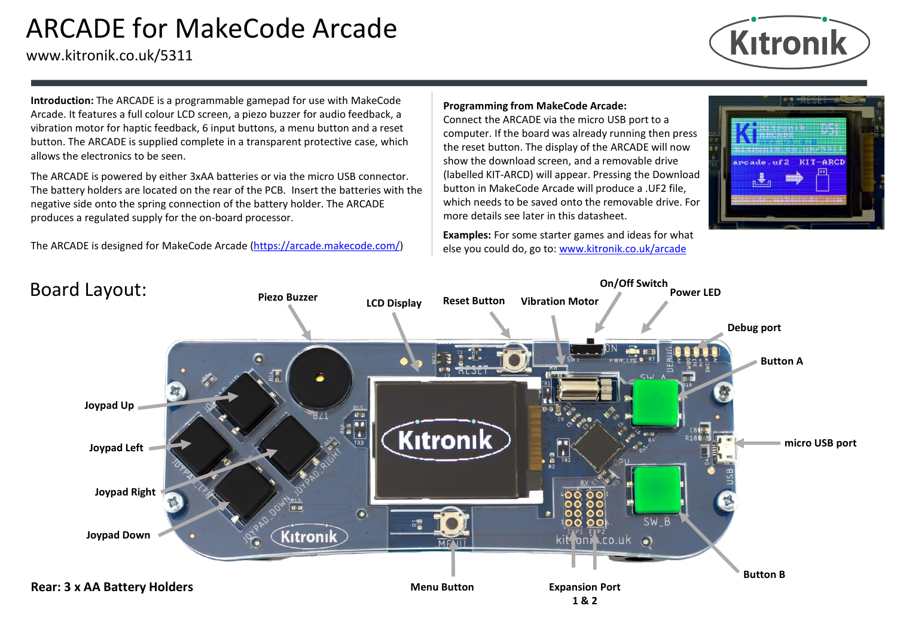# ARCADE for MakeCode Arcade

www.kitronik.co.uk/5311



**Introduction:** The ARCADE is a programmable gamepad for use with MakeCode Arcade. It features a full colour LCD screen, a piezo buzzer for audio feedback, a vibration motor for haptic feedback, 6 input buttons, a menu button and a reset button. The ARCADE is supplied complete in a transparent protective case, which allows the electronics to be seen.

The ARCADE is powered by either 3xAA batteries or via the micro USB connector. The battery holders are located on the rear of the PCB. Insert the batteries with the negative side onto the spring connection of the battery holder. The ARCADE produces a regulated supply for the on-board processor.

The ARCADE is designed for MakeCode Arcade [\(https://arcade.makecode.com/\)](https://arcade.makecode.com/)

#### **Programming from MakeCode Arcade:**

Connect the ARCADE via the micro USB port to a computer. If the board was already running then press the reset button. The display of the ARCADE will now show the download screen, and a removable drive (labelled KIT-ARCD) will appear. Pressing the Download button in MakeCode Arcade will produce a .UF2 file, which needs to be saved onto the removable drive. For more details see later in this datasheet.

**Examples:** For some starter games and ideas for what else you could do, go to: [www.kitronik.co.uk/arcade](http://www.kitronik.co.uk/arcade)



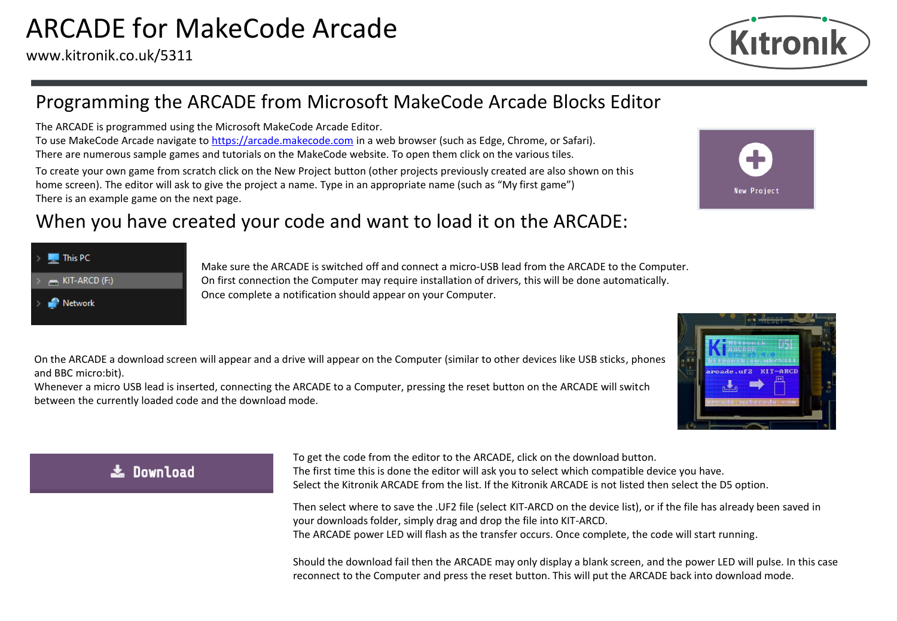

## Programming the ARCADE from Microsoft MakeCode Arcade Blocks Editor

The ARCADE is programmed using the Microsoft MakeCode Arcade Editor.

To use MakeCode Arcade navigate to [https://arcade.makecode.com](https://arcade.makecode.com/) in a web browser (such as Edge, Chrome, or Safari). There are numerous sample games and tutorials on the MakeCode website. To open them click on the various tiles.

To create your own game from scratch click on the New Project button (other projects previously created are also shown on this home screen). The editor will ask to give the project a name. Type in an appropriate name (such as "My first game") There is an example game on the next page.

## When you have created your code and want to load it on the ARCADE:

| This PC                     |
|-----------------------------|
| $\rightarrow$ KIT-ARCD (F:) |
| <b>Network</b>              |

Make sure the ARCADE is switched off and connect a micro-USB lead from the ARCADE to the Computer. On first connection the Computer may require installation of drivers, this will be done automatically. Once complete a notification should appear on your Computer.

On the ARCADE a download screen will appear and a drive will appear on the Computer (similar to other devices like USB sticks, phones and BBC micro:bit).

Whenever a micro USB lead is inserted, connecting the ARCADE to a Computer, pressing the reset button on the ARCADE will switch between the currently loaded code and the download mode.

### 志 Download

To get the code from the editor to the ARCADE, click on the download button. The first time this is done the editor will ask you to select which compatible device you have. Select the Kitronik ARCADE from the list. If the Kitronik ARCADE is not listed then select the D5 option.

Then select where to save the .UF2 file (select KIT-ARCD on the device list), or if the file has already been saved in your downloads folder, simply drag and drop the file into KIT-ARCD. The ARCADE power LED will flash as the transfer occurs. Once complete, the code will start running.

Should the download fail then the ARCADE may only display a blank screen, and the power LED will pulse. In this case reconnect to the Computer and press the reset button. This will put the ARCADE back into download mode.



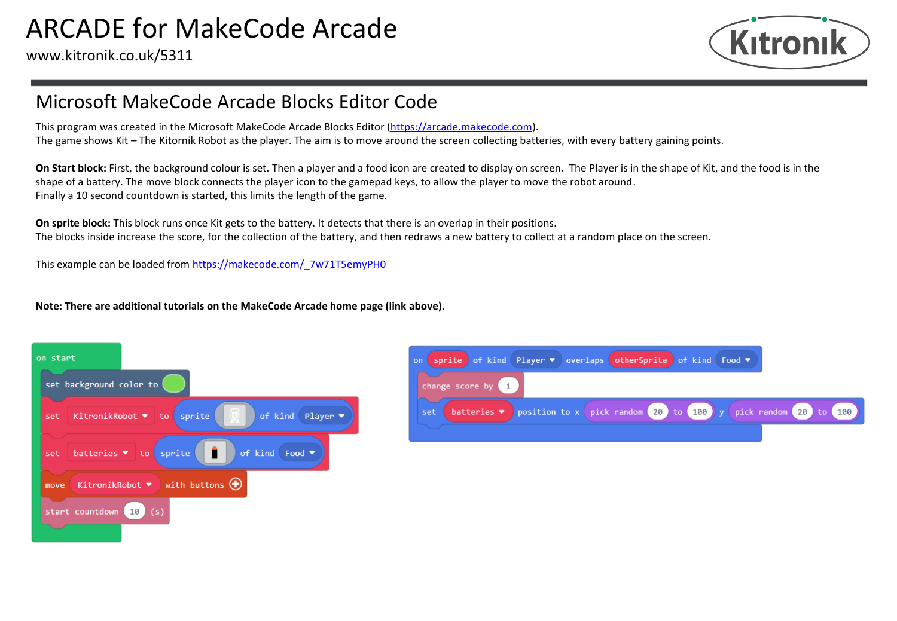

## Microsoft MakeCode Arcade Blocks Editor Code

This program was created in the Microsoft MakeCode Arcade Blocks Editor ([https://arcade.makecode.com\)](https://arcade.makecode.com/). The game shows Kit – The Kitornik Robot as the player. The aim is to move around the screen collecting batteries, with every battery gaining points.

**On Start block:** First, the background colour is set. Then a player and a food icon are created to display on screen. The Player is in the shape of Kit, and the food is in the shape of a battery. The move block connects the player icon to the gamepad keys, to allow the player to move the robot around. Finally a 10 second countdown is started, this limits the length of the game.

**On sprite block:** This block runs once Kit gets to the battery. It detects that there is an overlap in their positions. The blocks inside increase the score, for the collection of the battery, and then redraws a new battery to collect at a random place on the screen.

This example can be loaded from [https://makecode.com/\\_7w71T5emyPH0](https://makecode.com/_7w71T5emyPH0)

**Note: There are additional tutorials on the MakeCode Arcade home page (link above).**